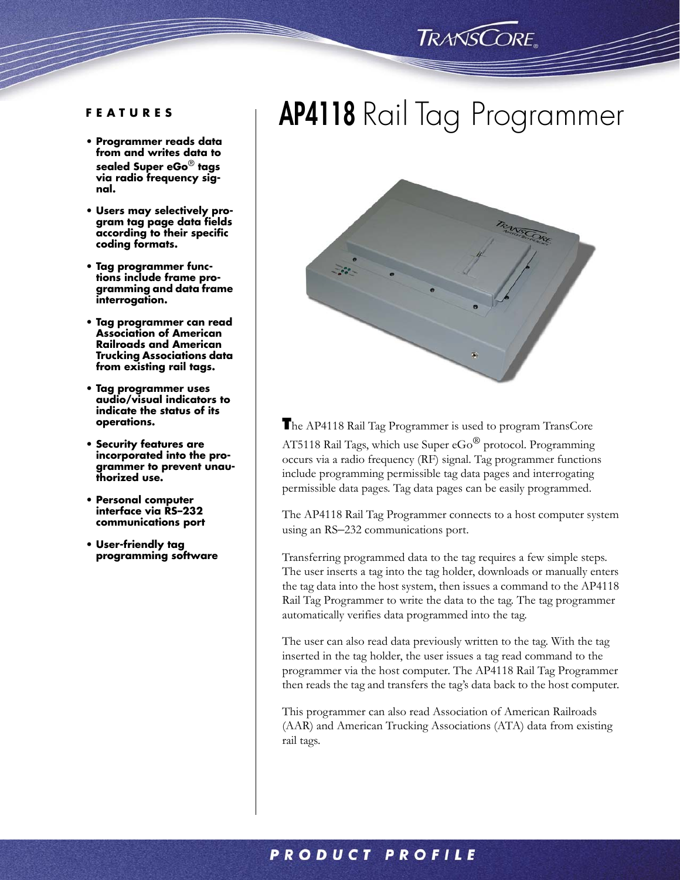### **TRANSCORE**

- **Programmer reads data from and writes data to sealed Super eGo**® **tags via radio frequency signal.**
- **Users may selectively program tag page data fields according to their specific coding formats.**
- **Tag programmer functions include frame programming and data frame interrogation.**
- **Tag programmer can read Association of American Railroads and American Trucking Associations data from existing rail tags.**
- **Tag programmer uses audio/visual indicators to indicate the status of its operations.**
- **Security features are incorporated into the programmer to prevent unauthorized use.**
- **Personal computer interface via RS–232 communications port**
- **User-friendly tag programming software**

## **AP4118** Rail Tag Programmer **FEATURES**



**T**he AP4118 Rail Tag Programmer is used to program TransCore AT5118 Rail Tags, which use Super  $eGo^{\textcircled{6}}$  protocol. Programming occurs via a radio frequency (RF) signal. Tag programmer functions include programming permissible tag data pages and interrogating permissible data pages. Tag data pages can be easily programmed.

The AP4118 Rail Tag Programmer connects to a host computer system using an RS–232 communications port.

Transferring programmed data to the tag requires a few simple steps. The user inserts a tag into the tag holder, downloads or manually enters the tag data into the host system, then issues a command to the AP4118 Rail Tag Programmer to write the data to the tag. The tag programmer automatically verifies data programmed into the tag.

The user can also read data previously written to the tag. With the tag inserted in the tag holder, the user issues a tag read command to the programmer via the host computer. The AP4118 Rail Tag Programmer then reads the tag and transfers the tag's data back to the host computer.

This programmer can also read Association of American Railroads (AAR) and American Trucking Associations (ATA) data from existing rail tags.

### **PRODUCT PROFILE**